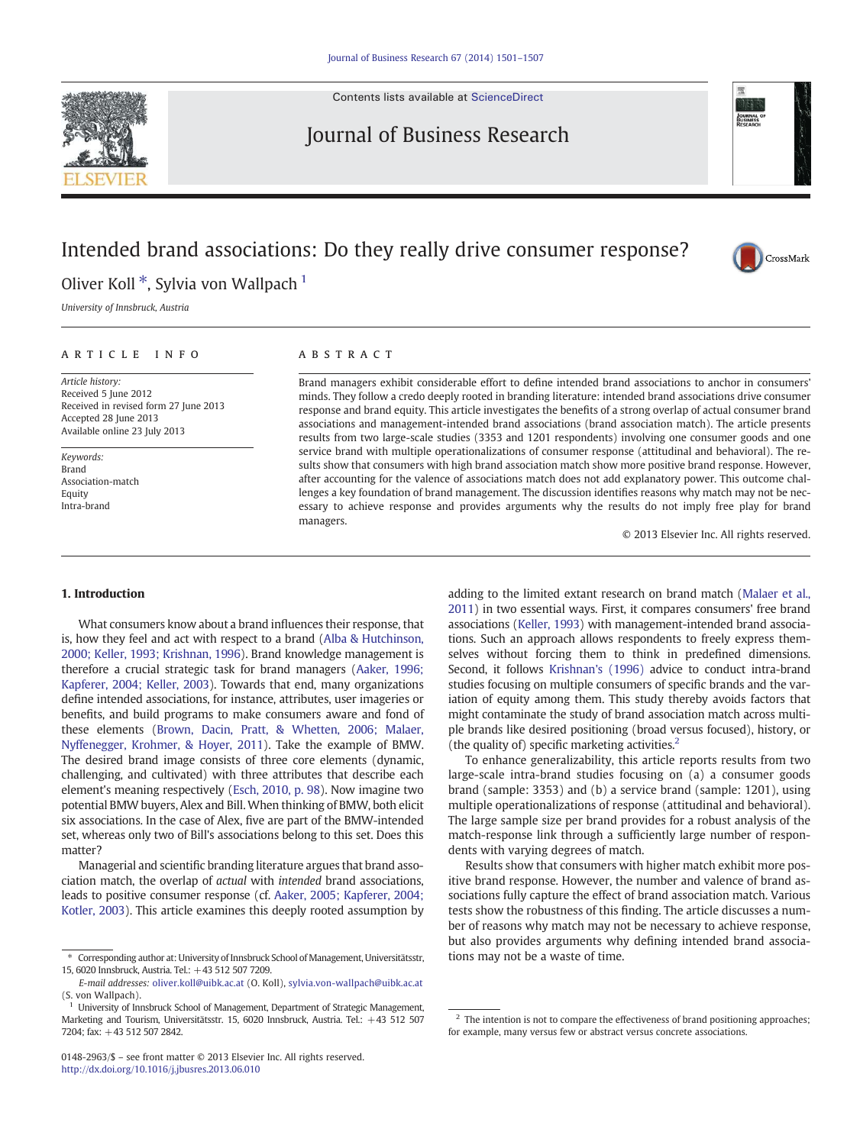Contents lists available at [ScienceDirect](http://www.sciencedirect.com/science/journal/01482963)

# Journal of Business Research



# Intended brand associations: Do they really drive consumer response?



# Oliver Koll<sup>\*</sup>, Sylvia von Wallpach<sup>1</sup>

University of Innsbruck, Austria

### article info abstract

Article history: Received 5 June 2012 Received in revised form 27 June 2013 Accepted 28 June 2013 Available online 23 July 2013

Keywords: Brand Association-match Equity Intra-brand

Brand managers exhibit considerable effort to define intended brand associations to anchor in consumers' minds. They follow a credo deeply rooted in branding literature: intended brand associations drive consumer response and brand equity. This article investigates the benefits of a strong overlap of actual consumer brand associations and management-intended brand associations (brand association match). The article presents results from two large-scale studies (3353 and 1201 respondents) involving one consumer goods and one service brand with multiple operationalizations of consumer response (attitudinal and behavioral). The results show that consumers with high brand association match show more positive brand response. However, after accounting for the valence of associations match does not add explanatory power. This outcome challenges a key foundation of brand management. The discussion identifies reasons why match may not be necessary to achieve response and provides arguments why the results do not imply free play for brand managers.

© 2013 Elsevier Inc. All rights reserved.

# 1. Introduction

What consumers know about a brand influences their response, that is, how they feel and act with respect to a brand [\(Alba & Hutchinson,](#page-6-0) [2000; Keller, 1993; Krishnan, 1996\)](#page-6-0). Brand knowledge management is therefore a crucial strategic task for brand managers ([Aaker, 1996;](#page-6-0) [Kapferer, 2004; Keller, 2003\)](#page-6-0). Towards that end, many organizations define intended associations, for instance, attributes, user imageries or benefits, and build programs to make consumers aware and fond of these elements ([Brown, Dacin, Pratt, & Whetten, 2006; Malaer,](#page-6-0) [Nyffenegger, Krohmer, & Hoyer, 2011](#page-6-0)). Take the example of BMW. The desired brand image consists of three core elements (dynamic, challenging, and cultivated) with three attributes that describe each element's meaning respectively [\(Esch, 2010, p. 98\)](#page-6-0). Now imagine two potential BMW buyers, Alex and Bill. When thinking of BMW, both elicit six associations. In the case of Alex, five are part of the BMW-intended set, whereas only two of Bill's associations belong to this set. Does this matter?

Managerial and scientific branding literature argues that brand association match, the overlap of actual with intended brand associations, leads to positive consumer response (cf. [Aaker, 2005; Kapferer, 2004;](#page-6-0) [Kotler, 2003](#page-6-0)). This article examines this deeply rooted assumption by adding to the limited extant research on brand match [\(Malaer et al.,](#page-6-0) [2011](#page-6-0)) in two essential ways. First, it compares consumers' free brand associations ([Keller, 1993](#page-6-0)) with management-intended brand associations. Such an approach allows respondents to freely express themselves without forcing them to think in predefined dimensions. Second, it follows [Krishnan's \(1996\)](#page-6-0) advice to conduct intra-brand studies focusing on multiple consumers of specific brands and the variation of equity among them. This study thereby avoids factors that might contaminate the study of brand association match across multiple brands like desired positioning (broad versus focused), history, or (the quality of) specific marketing activities.<sup>2</sup>

To enhance generalizability, this article reports results from two large-scale intra-brand studies focusing on (a) a consumer goods brand (sample: 3353) and (b) a service brand (sample: 1201), using multiple operationalizations of response (attitudinal and behavioral). The large sample size per brand provides for a robust analysis of the match-response link through a sufficiently large number of respondents with varying degrees of match.

Results show that consumers with higher match exhibit more positive brand response. However, the number and valence of brand associations fully capture the effect of brand association match. Various tests show the robustness of this finding. The article discusses a number of reasons why match may not be necessary to achieve response, but also provides arguments why defining intended brand associations may not be a waste of time.

<sup>⁎</sup> Corresponding author at: University of Innsbruck School of Management, Universitätsstr, 15, 6020 Innsbruck, Austria. Tel.: +43 512 507 7209.

E-mail addresses: [oliver.koll@uibk.ac.at](mailto:oliver.koll@uibk.ac.at) (O. Koll), [sylvia.von-wallpach@uibk.ac.at](mailto:sylvia.von-wallpach@uibk.ac.at) (S. von Wallpach).

<sup>1</sup> University of Innsbruck School of Management, Department of Strategic Management, Marketing and Tourism, Universitätsstr. 15, 6020 Innsbruck, Austria. Tel.: +43 512 507 7204; fax: +43 512 507 2842.

<sup>0148-2963/\$</sup> – see front matter © 2013 Elsevier Inc. All rights reserved. <http://dx.doi.org/10.1016/j.jbusres.2013.06.010>

<sup>&</sup>lt;sup>2</sup> The intention is not to compare the effectiveness of brand positioning approaches; for example, many versus few or abstract versus concrete associations.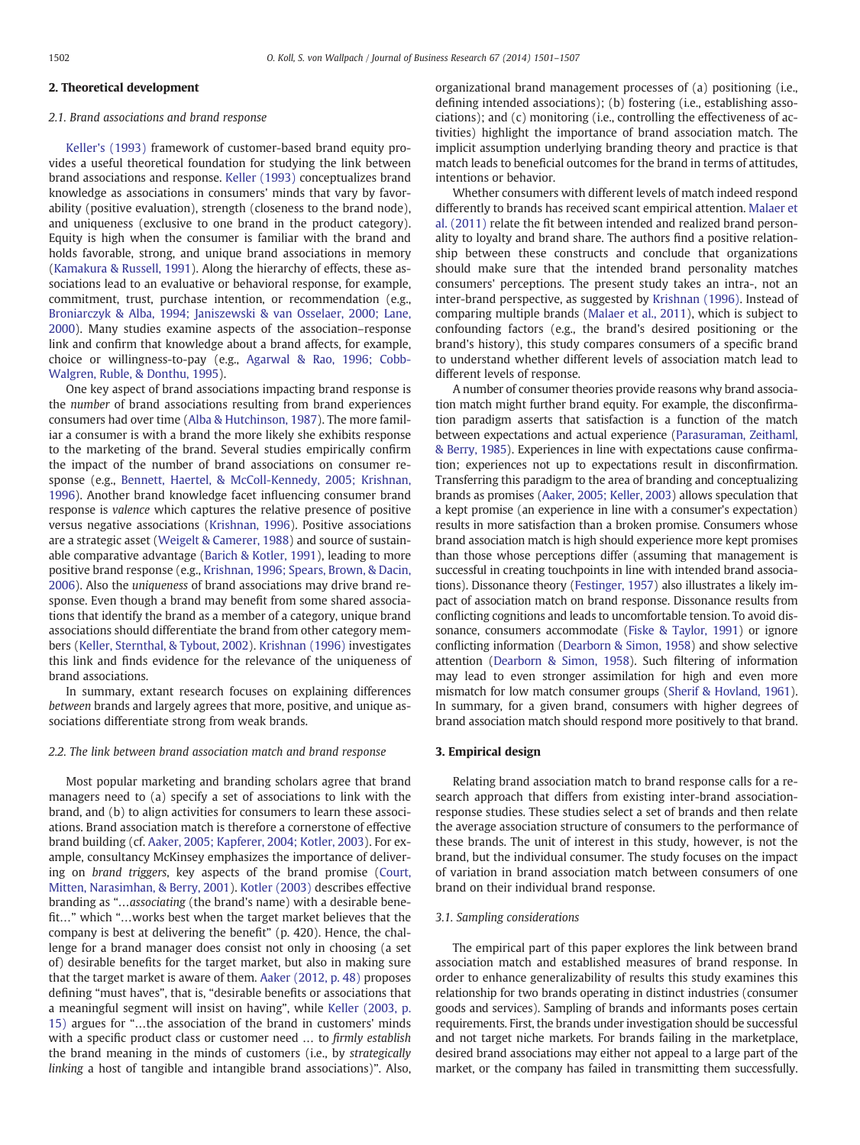## 2. Theoretical development

#### 2.1. Brand associations and brand response

[Keller's \(1993\)](#page-6-0) framework of customer-based brand equity provides a useful theoretical foundation for studying the link between brand associations and response. [Keller \(1993\)](#page-6-0) conceptualizes brand knowledge as associations in consumers' minds that vary by favorability (positive evaluation), strength (closeness to the brand node), and uniqueness (exclusive to one brand in the product category). Equity is high when the consumer is familiar with the brand and holds favorable, strong, and unique brand associations in memory [\(Kamakura & Russell, 1991](#page-6-0)). Along the hierarchy of effects, these associations lead to an evaluative or behavioral response, for example, commitment, trust, purchase intention, or recommendation (e.g., [Broniarczyk & Alba, 1994; Janiszewski & van Osselaer, 2000; Lane,](#page-6-0) [2000\)](#page-6-0). Many studies examine aspects of the association–response link and confirm that knowledge about a brand affects, for example, choice or willingness-to-pay (e.g., [Agarwal & Rao, 1996; Cobb-](#page-6-0)[Walgren, Ruble, & Donthu, 1995](#page-6-0)).

One key aspect of brand associations impacting brand response is the number of brand associations resulting from brand experiences consumers had over time [\(Alba & Hutchinson, 1987\)](#page-6-0). The more familiar a consumer is with a brand the more likely she exhibits response to the marketing of the brand. Several studies empirically confirm the impact of the number of brand associations on consumer response (e.g., [Bennett, Haertel, & McColl-Kennedy, 2005; Krishnan,](#page-6-0) [1996\)](#page-6-0). Another brand knowledge facet influencing consumer brand response is valence which captures the relative presence of positive versus negative associations [\(Krishnan, 1996\)](#page-6-0). Positive associations are a strategic asset ([Weigelt & Camerer, 1988](#page-6-0)) and source of sustainable comparative advantage ([Barich & Kotler, 1991](#page-6-0)), leading to more positive brand response (e.g., [Krishnan, 1996; Spears, Brown, & Dacin,](#page-6-0) [2006\)](#page-6-0). Also the uniqueness of brand associations may drive brand response. Even though a brand may benefit from some shared associations that identify the brand as a member of a category, unique brand associations should differentiate the brand from other category members ([Keller, Sternthal, & Tybout, 2002](#page-6-0)). [Krishnan \(1996\)](#page-6-0) investigates this link and finds evidence for the relevance of the uniqueness of brand associations.

In summary, extant research focuses on explaining differences between brands and largely agrees that more, positive, and unique associations differentiate strong from weak brands.

#### 2.2. The link between brand association match and brand response

Most popular marketing and branding scholars agree that brand managers need to (a) specify a set of associations to link with the brand, and (b) to align activities for consumers to learn these associations. Brand association match is therefore a cornerstone of effective brand building (cf. [Aaker, 2005; Kapferer, 2004; Kotler, 2003](#page-6-0)). For example, consultancy McKinsey emphasizes the importance of delivering on brand triggers, key aspects of the brand promise ([Court,](#page-6-0) [Mitten, Narasimhan, & Berry, 2001](#page-6-0)). [Kotler \(2003\)](#page-6-0) describes effective branding as "…associating (the brand's name) with a desirable benefit…" which "…works best when the target market believes that the company is best at delivering the benefit" (p. 420). Hence, the challenge for a brand manager does consist not only in choosing (a set of) desirable benefits for the target market, but also in making sure that the target market is aware of them. [Aaker \(2012, p. 48\)](#page-6-0) proposes defining "must haves", that is, "desirable benefits or associations that a meaningful segment will insist on having", while [Keller \(2003, p.](#page-6-0) [15\)](#page-6-0) argues for "…the association of the brand in customers' minds with a specific product class or customer need ... to firmly establish the brand meaning in the minds of customers (i.e., by strategically linking a host of tangible and intangible brand associations)". Also, organizational brand management processes of (a) positioning (i.e., defining intended associations); (b) fostering (i.e., establishing associations); and (c) monitoring (i.e., controlling the effectiveness of activities) highlight the importance of brand association match. The implicit assumption underlying branding theory and practice is that match leads to beneficial outcomes for the brand in terms of attitudes, intentions or behavior.

Whether consumers with different levels of match indeed respond differently to brands has received scant empirical attention. [Malaer et](#page-6-0) [al. \(2011\)](#page-6-0) relate the fit between intended and realized brand personality to loyalty and brand share. The authors find a positive relationship between these constructs and conclude that organizations should make sure that the intended brand personality matches consumers' perceptions. The present study takes an intra-, not an inter-brand perspective, as suggested by [Krishnan \(1996\).](#page-6-0) Instead of comparing multiple brands [\(Malaer et al., 2011\)](#page-6-0), which is subject to confounding factors (e.g., the brand's desired positioning or the brand's history), this study compares consumers of a specific brand to understand whether different levels of association match lead to different levels of response.

A number of consumer theories provide reasons why brand association match might further brand equity. For example, the disconfirmation paradigm asserts that satisfaction is a function of the match between expectations and actual experience [\(Parasuraman, Zeithaml,](#page-6-0) [& Berry, 1985\)](#page-6-0). Experiences in line with expectations cause confirmation; experiences not up to expectations result in disconfirmation. Transferring this paradigm to the area of branding and conceptualizing brands as promises ([Aaker, 2005; Keller, 2003](#page-6-0)) allows speculation that a kept promise (an experience in line with a consumer's expectation) results in more satisfaction than a broken promise. Consumers whose brand association match is high should experience more kept promises than those whose perceptions differ (assuming that management is successful in creating touchpoints in line with intended brand associations). Dissonance theory [\(Festinger, 1957\)](#page-6-0) also illustrates a likely impact of association match on brand response. Dissonance results from conflicting cognitions and leads to uncomfortable tension. To avoid dissonance, consumers accommodate [\(Fiske & Taylor, 1991\)](#page-6-0) or ignore conflicting information ([Dearborn & Simon, 1958](#page-6-0)) and show selective attention [\(Dearborn & Simon, 1958\)](#page-6-0). Such filtering of information may lead to even stronger assimilation for high and even more mismatch for low match consumer groups [\(Sherif & Hovland, 1961\)](#page-6-0). In summary, for a given brand, consumers with higher degrees of brand association match should respond more positively to that brand.

#### 3. Empirical design

Relating brand association match to brand response calls for a research approach that differs from existing inter-brand associationresponse studies. These studies select a set of brands and then relate the average association structure of consumers to the performance of these brands. The unit of interest in this study, however, is not the brand, but the individual consumer. The study focuses on the impact of variation in brand association match between consumers of one brand on their individual brand response.

#### 3.1. Sampling considerations

The empirical part of this paper explores the link between brand association match and established measures of brand response. In order to enhance generalizability of results this study examines this relationship for two brands operating in distinct industries (consumer goods and services). Sampling of brands and informants poses certain requirements. First, the brands under investigation should be successful and not target niche markets. For brands failing in the marketplace, desired brand associations may either not appeal to a large part of the market, or the company has failed in transmitting them successfully.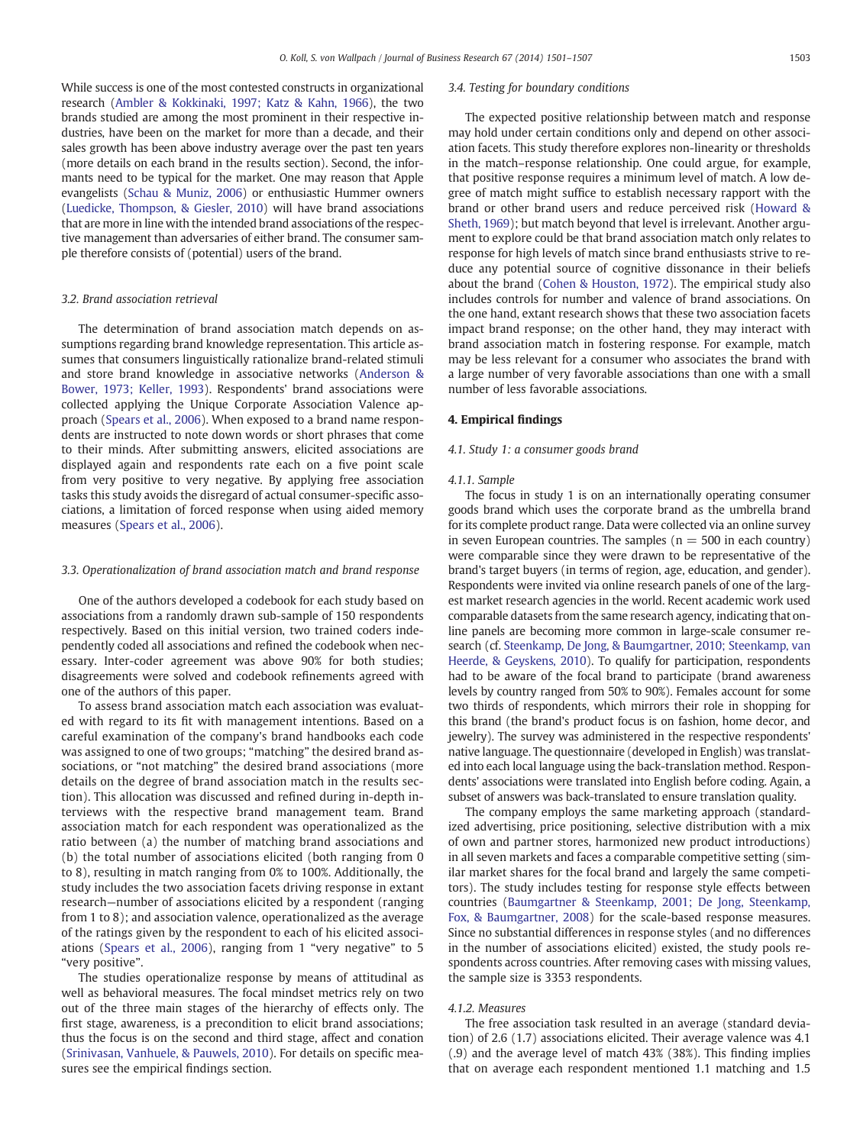While success is one of the most contested constructs in organizational research [\(Ambler & Kokkinaki, 1997; Katz & Kahn, 1966](#page-6-0)), the two brands studied are among the most prominent in their respective industries, have been on the market for more than a decade, and their sales growth has been above industry average over the past ten years (more details on each brand in the results section). Second, the informants need to be typical for the market. One may reason that Apple evangelists ([Schau & Muniz, 2006\)](#page-6-0) or enthusiastic Hummer owners [\(Luedicke, Thompson, & Giesler, 2010](#page-6-0)) will have brand associations that are more in line with the intended brand associations of the respective management than adversaries of either brand. The consumer sample therefore consists of (potential) users of the brand.

### 3.2. Brand association retrieval

The determination of brand association match depends on assumptions regarding brand knowledge representation. This article assumes that consumers linguistically rationalize brand-related stimuli and store brand knowledge in associative networks [\(Anderson &](#page-6-0) [Bower, 1973; Keller, 1993](#page-6-0)). Respondents' brand associations were collected applying the Unique Corporate Association Valence approach [\(Spears et al., 2006](#page-6-0)). When exposed to a brand name respondents are instructed to note down words or short phrases that come to their minds. After submitting answers, elicited associations are displayed again and respondents rate each on a five point scale from very positive to very negative. By applying free association tasks this study avoids the disregard of actual consumer-specific associations, a limitation of forced response when using aided memory measures ([Spears et al., 2006](#page-6-0)).

#### 3.3. Operationalization of brand association match and brand response

One of the authors developed a codebook for each study based on associations from a randomly drawn sub-sample of 150 respondents respectively. Based on this initial version, two trained coders independently coded all associations and refined the codebook when necessary. Inter-coder agreement was above 90% for both studies; disagreements were solved and codebook refinements agreed with one of the authors of this paper.

To assess brand association match each association was evaluated with regard to its fit with management intentions. Based on a careful examination of the company's brand handbooks each code was assigned to one of two groups; "matching" the desired brand associations, or "not matching" the desired brand associations (more details on the degree of brand association match in the results section). This allocation was discussed and refined during in-depth interviews with the respective brand management team. Brand association match for each respondent was operationalized as the ratio between (a) the number of matching brand associations and (b) the total number of associations elicited (both ranging from 0 to 8), resulting in match ranging from 0% to 100%. Additionally, the study includes the two association facets driving response in extant research—number of associations elicited by a respondent (ranging from 1 to 8); and association valence, operationalized as the average of the ratings given by the respondent to each of his elicited associations [\(Spears et al., 2006](#page-6-0)), ranging from 1 "very negative" to 5 "very positive".

The studies operationalize response by means of attitudinal as well as behavioral measures. The focal mindset metrics rely on two out of the three main stages of the hierarchy of effects only. The first stage, awareness, is a precondition to elicit brand associations; thus the focus is on the second and third stage, affect and conation [\(Srinivasan, Vanhuele, & Pauwels, 2010](#page-6-0)). For details on specific measures see the empirical findings section.

#### 3.4. Testing for boundary conditions

The expected positive relationship between match and response may hold under certain conditions only and depend on other association facets. This study therefore explores non-linearity or thresholds in the match–response relationship. One could argue, for example, that positive response requires a minimum level of match. A low degree of match might suffice to establish necessary rapport with the brand or other brand users and reduce perceived risk [\(Howard &](#page-6-0) [Sheth, 1969](#page-6-0)); but match beyond that level is irrelevant. Another argument to explore could be that brand association match only relates to response for high levels of match since brand enthusiasts strive to reduce any potential source of cognitive dissonance in their beliefs about the brand [\(Cohen & Houston, 1972](#page-6-0)). The empirical study also includes controls for number and valence of brand associations. On the one hand, extant research shows that these two association facets impact brand response; on the other hand, they may interact with brand association match in fostering response. For example, match may be less relevant for a consumer who associates the brand with a large number of very favorable associations than one with a small number of less favorable associations.

#### 4. Empirical findings

## 4.1. Study 1: a consumer goods brand

#### 4.1.1. Sample

The focus in study 1 is on an internationally operating consumer goods brand which uses the corporate brand as the umbrella brand for its complete product range. Data were collected via an online survey in seven European countries. The samples ( $n = 500$  in each country) were comparable since they were drawn to be representative of the brand's target buyers (in terms of region, age, education, and gender). Respondents were invited via online research panels of one of the largest market research agencies in the world. Recent academic work used comparable datasets from the same research agency, indicating that online panels are becoming more common in large-scale consumer research (cf. [Steenkamp, De Jong, & Baumgartner, 2010; Steenkamp, van](#page-6-0) [Heerde, & Geyskens, 2010](#page-6-0)). To qualify for participation, respondents had to be aware of the focal brand to participate (brand awareness levels by country ranged from 50% to 90%). Females account for some two thirds of respondents, which mirrors their role in shopping for this brand (the brand's product focus is on fashion, home decor, and jewelry). The survey was administered in the respective respondents' native language. The questionnaire (developed in English) was translated into each local language using the back-translation method. Respondents' associations were translated into English before coding. Again, a subset of answers was back-translated to ensure translation quality.

The company employs the same marketing approach (standardized advertising, price positioning, selective distribution with a mix of own and partner stores, harmonized new product introductions) in all seven markets and faces a comparable competitive setting (similar market shares for the focal brand and largely the same competitors). The study includes testing for response style effects between countries ([Baumgartner & Steenkamp, 2001; De Jong, Steenkamp,](#page-6-0) [Fox, & Baumgartner, 2008](#page-6-0)) for the scale-based response measures. Since no substantial differences in response styles (and no differences in the number of associations elicited) existed, the study pools respondents across countries. After removing cases with missing values, the sample size is 3353 respondents.

# 4.1.2. Measures

The free association task resulted in an average (standard deviation) of 2.6 (1.7) associations elicited. Their average valence was 4.1 (.9) and the average level of match 43% (38%). This finding implies that on average each respondent mentioned 1.1 matching and 1.5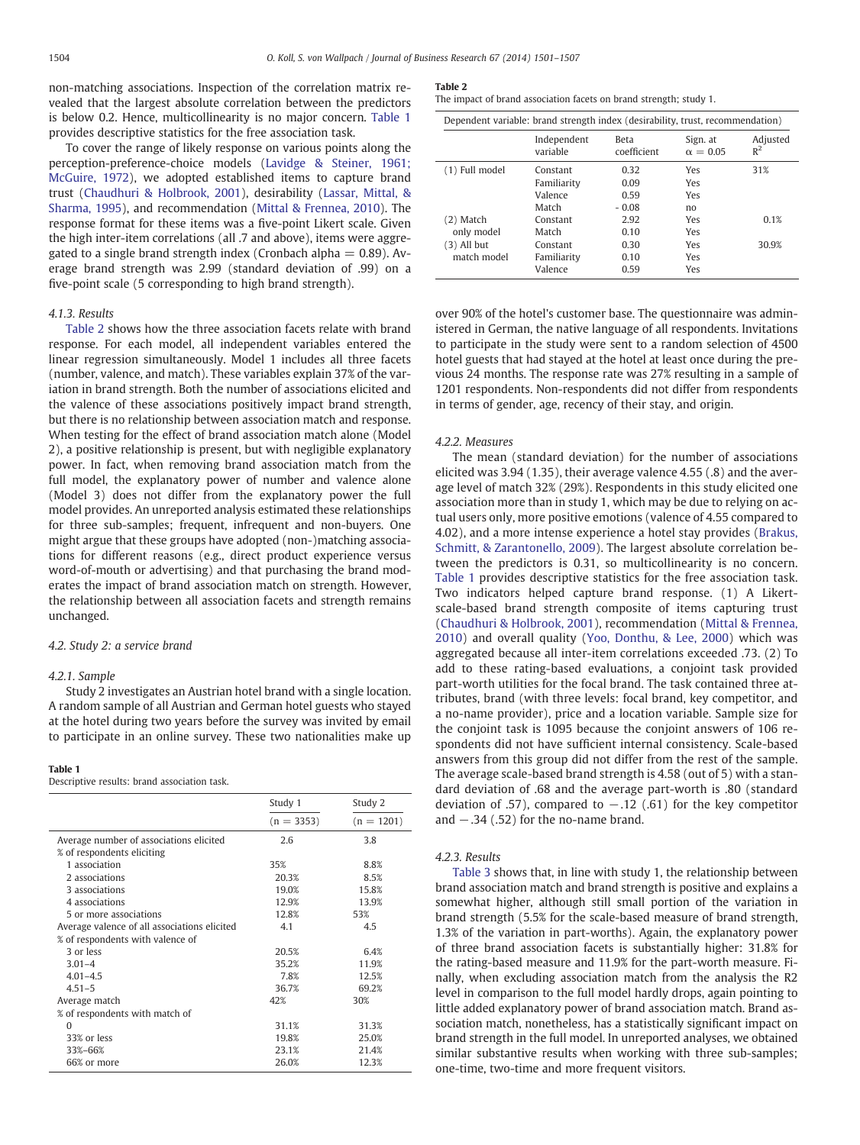non-matching associations. Inspection of the correlation matrix revealed that the largest absolute correlation between the predictors is below 0.2. Hence, multicollinearity is no major concern. Table 1 provides descriptive statistics for the free association task.

To cover the range of likely response on various points along the perception-preference-choice models [\(Lavidge & Steiner, 1961;](#page-6-0) [McGuire, 1972](#page-6-0)), we adopted established items to capture brand trust [\(Chaudhuri & Holbrook, 2001](#page-6-0)), desirability [\(Lassar, Mittal, &](#page-6-0) [Sharma, 1995](#page-6-0)), and recommendation ([Mittal & Frennea, 2010](#page-6-0)). The response format for these items was a five-point Likert scale. Given the high inter-item correlations (all .7 and above), items were aggregated to a single brand strength index (Cronbach alpha  $= 0.89$ ). Average brand strength was 2.99 (standard deviation of .99) on a five-point scale (5 corresponding to high brand strength).

### 4.1.3. Results

Table 2 shows how the three association facets relate with brand response. For each model, all independent variables entered the linear regression simultaneously. Model 1 includes all three facets (number, valence, and match). These variables explain 37% of the variation in brand strength. Both the number of associations elicited and the valence of these associations positively impact brand strength, but there is no relationship between association match and response. When testing for the effect of brand association match alone (Model 2), a positive relationship is present, but with negligible explanatory power. In fact, when removing brand association match from the full model, the explanatory power of number and valence alone (Model 3) does not differ from the explanatory power the full model provides. An unreported analysis estimated these relationships for three sub-samples; frequent, infrequent and non-buyers. One might argue that these groups have adopted (non-)matching associations for different reasons (e.g., direct product experience versus word-of-mouth or advertising) and that purchasing the brand moderates the impact of brand association match on strength. However, the relationship between all association facets and strength remains unchanged.

#### 4.2. Study 2: a service brand

## 4.2.1. Sample

Study 2 investigates an Austrian hotel brand with a single location. A random sample of all Austrian and German hotel guests who stayed at the hotel during two years before the survey was invited by email to participate in an online survey. These two nationalities make up

#### Table 1

Descriptive results: brand association task.

|                                              | Study 1      | Study 2      |
|----------------------------------------------|--------------|--------------|
|                                              | $(n = 3353)$ | $(n = 1201)$ |
| Average number of associations elicited      | 2.6          | 3.8          |
| % of respondents eliciting                   |              |              |
| 1 association                                | 35%          | 8.8%         |
| 2 associations                               | 20.3%        | 8.5%         |
| 3 associations                               | 19.0%        | 15.8%        |
| 4 associations                               | 12.9%        | 13.9%        |
| 5 or more associations                       | 12.8%        | 53%          |
| Average valence of all associations elicited | 4.1          | 4.5          |
| % of respondents with valence of             |              |              |
| 3 or less                                    | 20.5%        | 6.4%         |
| $3.01 - 4$                                   | 35.2%        | 11.9%        |
| $4.01 - 4.5$                                 | 7.8%         | 12.5%        |
| $4.51 - 5$                                   | 36.7%        | 69.2%        |
| Average match                                | 42%          | 30%          |
| % of respondents with match of               |              |              |
| $\Omega$                                     | 31.1%        | 31.3%        |
| 33% or less                                  | 19.8%        | 25.0%        |
| 33%-66%                                      | 23.1%        | 21.4%        |
| 66% or more                                  | 26.0%        | 12.3%        |

Table 2

The impact of brand association facets on brand strength; study 1.

| Dependent variable: brand strength index (desirability, trust, recommendation) |  |  |  |
|--------------------------------------------------------------------------------|--|--|--|

|                | Independent<br>variable | <b>Beta</b><br>coefficient | Sign. at<br>$\alpha = 0.05$ | Adjusted<br>$R^2$ |
|----------------|-------------------------|----------------------------|-----------------------------|-------------------|
| (1) Full model | Constant                | 0.32                       | Yes                         | 31%               |
|                | Familiarity             | 0.09                       | Yes                         |                   |
|                | Valence                 | 0.59                       | Yes                         |                   |
|                | Match                   | $-0.08$                    | no                          |                   |
| (2) Match      | Constant                | 2.92                       | Yes                         | 0.1%              |
| only model     | Match                   | 0.10                       | Yes                         |                   |
| $(3)$ All but  | Constant                | 0.30                       | Yes                         | 30.9%             |
| match model    | Familiarity             | 0.10                       | Yes                         |                   |
|                | Valence                 | 0.59                       | Yes                         |                   |
|                |                         |                            |                             |                   |

over 90% of the hotel's customer base. The questionnaire was administered in German, the native language of all respondents. Invitations to participate in the study were sent to a random selection of 4500 hotel guests that had stayed at the hotel at least once during the previous 24 months. The response rate was 27% resulting in a sample of 1201 respondents. Non-respondents did not differ from respondents in terms of gender, age, recency of their stay, and origin.

#### 4.2.2. Measures

The mean (standard deviation) for the number of associations elicited was 3.94 (1.35), their average valence 4.55 (.8) and the average level of match 32% (29%). Respondents in this study elicited one association more than in study 1, which may be due to relying on actual users only, more positive emotions (valence of 4.55 compared to 4.02), and a more intense experience a hotel stay provides ([Brakus,](#page-6-0) [Schmitt, & Zarantonello, 2009\)](#page-6-0). The largest absolute correlation between the predictors is 0.31, so multicollinearity is no concern. Table 1 provides descriptive statistics for the free association task. Two indicators helped capture brand response. (1) A Likertscale-based brand strength composite of items capturing trust [\(Chaudhuri & Holbrook, 2001\)](#page-6-0), recommendation ([Mittal & Frennea,](#page-6-0) [2010](#page-6-0)) and overall quality ([Yoo, Donthu, & Lee, 2000\)](#page-6-0) which was aggregated because all inter-item correlations exceeded .73. (2) To add to these rating-based evaluations, a conjoint task provided part-worth utilities for the focal brand. The task contained three attributes, brand (with three levels: focal brand, key competitor, and a no-name provider), price and a location variable. Sample size for the conjoint task is 1095 because the conjoint answers of 106 respondents did not have sufficient internal consistency. Scale-based answers from this group did not differ from the rest of the sample. The average scale-based brand strength is 4.58 (out of 5) with a standard deviation of .68 and the average part-worth is .80 (standard deviation of .57), compared to  $-.12$  (.61) for the key competitor and  $-.34 (.52)$  for the no-name brand.

#### 4.2.3. Results

[Table 3](#page-4-0) shows that, in line with study 1, the relationship between brand association match and brand strength is positive and explains a somewhat higher, although still small portion of the variation in brand strength (5.5% for the scale-based measure of brand strength, 1.3% of the variation in part-worths). Again, the explanatory power of three brand association facets is substantially higher: 31.8% for the rating-based measure and 11.9% for the part-worth measure. Finally, when excluding association match from the analysis the R2 level in comparison to the full model hardly drops, again pointing to little added explanatory power of brand association match. Brand association match, nonetheless, has a statistically significant impact on brand strength in the full model. In unreported analyses, we obtained similar substantive results when working with three sub-samples; one-time, two-time and more frequent visitors.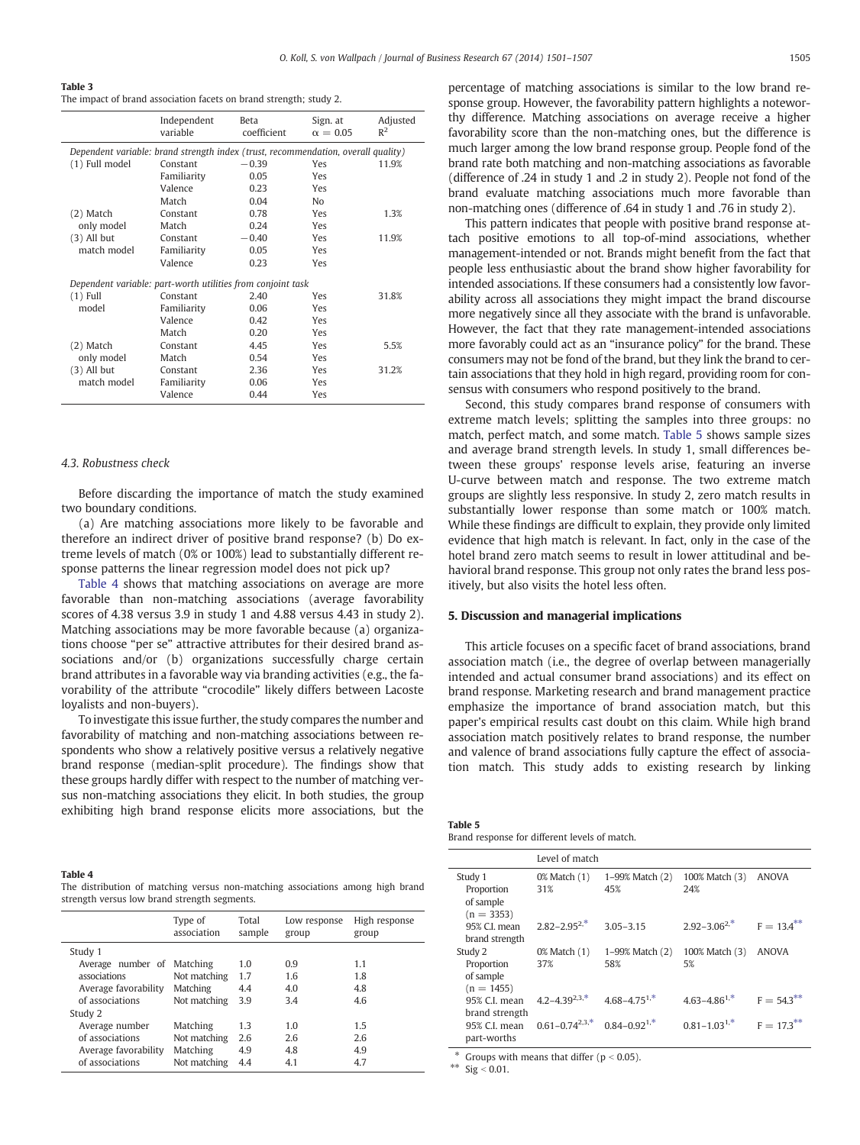<span id="page-4-0"></span>Table 3 The impact of brand association facets on brand strength; study 2.

|                                                                                   | Independent<br>variable | Beta<br>coefficient | Sign. at<br>$\alpha = 0.05$ | Adjusted<br>$R^2$ |
|-----------------------------------------------------------------------------------|-------------------------|---------------------|-----------------------------|-------------------|
| Dependent variable: brand strength index (trust, recommendation, overall quality) |                         |                     |                             |                   |
| (1) Full model                                                                    | Constant                | $-0.39$             | Yes                         | 11.9%             |
|                                                                                   | Familiarity             | 0.05                | Yes                         |                   |
|                                                                                   | Valence                 | 0.23                | Yes                         |                   |
|                                                                                   | Match                   | 0.04                | No                          |                   |
| (2) Match                                                                         | Constant                | 0.78                | Yes                         | 1.3%              |
| only model                                                                        | Match                   | 0.24                | Yes                         |                   |
| $(3)$ All but                                                                     | Constant                | $-0.40$             | Yes                         | 11.9%             |
| match model                                                                       | Familiarity             | 0.05                | Yes                         |                   |
|                                                                                   | Valence                 | 0.23                | Yes                         |                   |
| Dependent variable: part-worth utilities from conjoint task                       |                         |                     |                             |                   |
| $(1)$ Full                                                                        | Constant                | 2.40                | Yes                         | 31.8%             |
| model                                                                             | Familiarity             | 0.06                | Yes                         |                   |
|                                                                                   | Valence                 | 0.42                | Yes                         |                   |
|                                                                                   | Match                   | 0.20                | Yes                         |                   |
| (2) Match                                                                         | Constant                | 4.45                | Yes                         | 5.5%              |
| only model                                                                        | Match                   | 0.54                | Yes                         |                   |
| $(3)$ All but                                                                     | Constant                | 2.36                | Yes                         | 31.2%             |
| match model                                                                       | Familiarity             | 0.06                | Yes                         |                   |
|                                                                                   | Valence                 | 0.44                | Yes                         |                   |

# 4.3. Robustness check

Before discarding the importance of match the study examined two boundary conditions.

(a) Are matching associations more likely to be favorable and therefore an indirect driver of positive brand response? (b) Do extreme levels of match (0% or 100%) lead to substantially different response patterns the linear regression model does not pick up?

Table 4 shows that matching associations on average are more favorable than non-matching associations (average favorability scores of 4.38 versus 3.9 in study 1 and 4.88 versus 4.43 in study 2). Matching associations may be more favorable because (a) organizations choose "per se" attractive attributes for their desired brand associations and/or (b) organizations successfully charge certain brand attributes in a favorable way via branding activities (e.g., the favorability of the attribute "crocodile" likely differs between Lacoste loyalists and non-buyers).

To investigate this issue further, the study compares the number and favorability of matching and non-matching associations between respondents who show a relatively positive versus a relatively negative brand response (median-split procedure). The findings show that these groups hardly differ with respect to the number of matching versus non-matching associations they elicit. In both studies, the group exhibiting high brand response elicits more associations, but the

#### Table 4

The distribution of matching versus non-matching associations among high brand strength versus low brand strength segments.

|                      | Type of<br>association | Total<br>sample | Low response<br>group | High response<br>group |
|----------------------|------------------------|-----------------|-----------------------|------------------------|
| Study 1              |                        |                 |                       |                        |
| Average number of    | Matching               | 1.0             | 0.9                   | 1.1                    |
| associations         | Not matching           | 1.7             | 1.6                   | 1.8                    |
| Average favorability | Matching               | 4.4             | 4.0                   | 4.8                    |
| of associations      | Not matching           | 3.9             | 3.4                   | 4.6                    |
| Study 2              |                        |                 |                       |                        |
| Average number       | Matching               | 1.3             | 1.0                   | 1.5                    |
| of associations      | Not matching           | 2.6             | 2.6                   | 2.6                    |
| Average favorability | Matching               | 4.9             | 4.8                   | 4.9                    |
| of associations      | Not matching           | 4.4             | 4.1                   | 4.7                    |

percentage of matching associations is similar to the low brand response group. However, the favorability pattern highlights a noteworthy difference. Matching associations on average receive a higher favorability score than the non-matching ones, but the difference is much larger among the low brand response group. People fond of the brand rate both matching and non-matching associations as favorable (difference of .24 in study 1 and .2 in study 2). People not fond of the brand evaluate matching associations much more favorable than non-matching ones (difference of .64 in study 1 and .76 in study 2).

This pattern indicates that people with positive brand response attach positive emotions to all top-of-mind associations, whether management-intended or not. Brands might benefit from the fact that people less enthusiastic about the brand show higher favorability for intended associations. If these consumers had a consistently low favorability across all associations they might impact the brand discourse more negatively since all they associate with the brand is unfavorable. However, the fact that they rate management-intended associations more favorably could act as an "insurance policy" for the brand. These consumers may not be fond of the brand, but they link the brand to certain associations that they hold in high regard, providing room for consensus with consumers who respond positively to the brand.

Second, this study compares brand response of consumers with extreme match levels; splitting the samples into three groups: no match, perfect match, and some match. Table 5 shows sample sizes and average brand strength levels. In study 1, small differences between these groups' response levels arise, featuring an inverse U-curve between match and response. The two extreme match groups are slightly less responsive. In study 2, zero match results in substantially lower response than some match or 100% match. While these findings are difficult to explain, they provide only limited evidence that high match is relevant. In fact, only in the case of the hotel brand zero match seems to result in lower attitudinal and behavioral brand response. This group not only rates the brand less positively, but also visits the hotel less often.

## 5. Discussion and managerial implications

This article focuses on a specific facet of brand associations, brand association match (i.e., the degree of overlap between managerially intended and actual consumer brand associations) and its effect on brand response. Marketing research and brand management practice emphasize the importance of brand association match, but this paper's empirical results cast doubt on this claim. While high brand association match positively relates to brand response, the number and valence of brand associations fully capture the effect of association match. This study adds to existing research by linking

| Table 5                                       |  |
|-----------------------------------------------|--|
| Brand response for different levels of match. |  |

|                                                    | Level of match        |                        |                       |               |
|----------------------------------------------------|-----------------------|------------------------|-----------------------|---------------|
| Study 1<br>Proportion<br>of sample<br>$(n = 3353)$ | 0% Match (1)<br>31%   | 1–99% Match (2)<br>45% | 100% Match (3)<br>24% | <b>ANOVA</b>  |
| 95% C.I. mean<br>brand strength                    | $2.82 - 2.95^{2,*}$   | $3.05 - 3.15$          | $2.92 - 3.06^{2,*}$   | $F = 134***$  |
| Study 2<br>Proportion<br>of sample<br>$(n = 1455)$ | 0% Match (1)<br>37%   | 1–99% Match (2)<br>58% | 100% Match (3)<br>5%  | <b>ANOVA</b>  |
| 95% C.I. mean<br>brand strength                    | $4.2 - 4.39^{2,3,*}$  | $4.68 - 4.75^{1,*}$    | $4.63 - 4.86^{1,*}$   | $F = 54.3***$ |
| 95% C.I. mean<br>part-worths                       | $0.61 - 0.74^{2,3,*}$ | $0.84 - 0.92^{1,*}$    | $0.81 - 1.03^{1,*}$   | $F = 17.3***$ |

 $*$  Groups with means that differ ( $p < 0.05$ ).

\*\* Sig <  $0.01$ .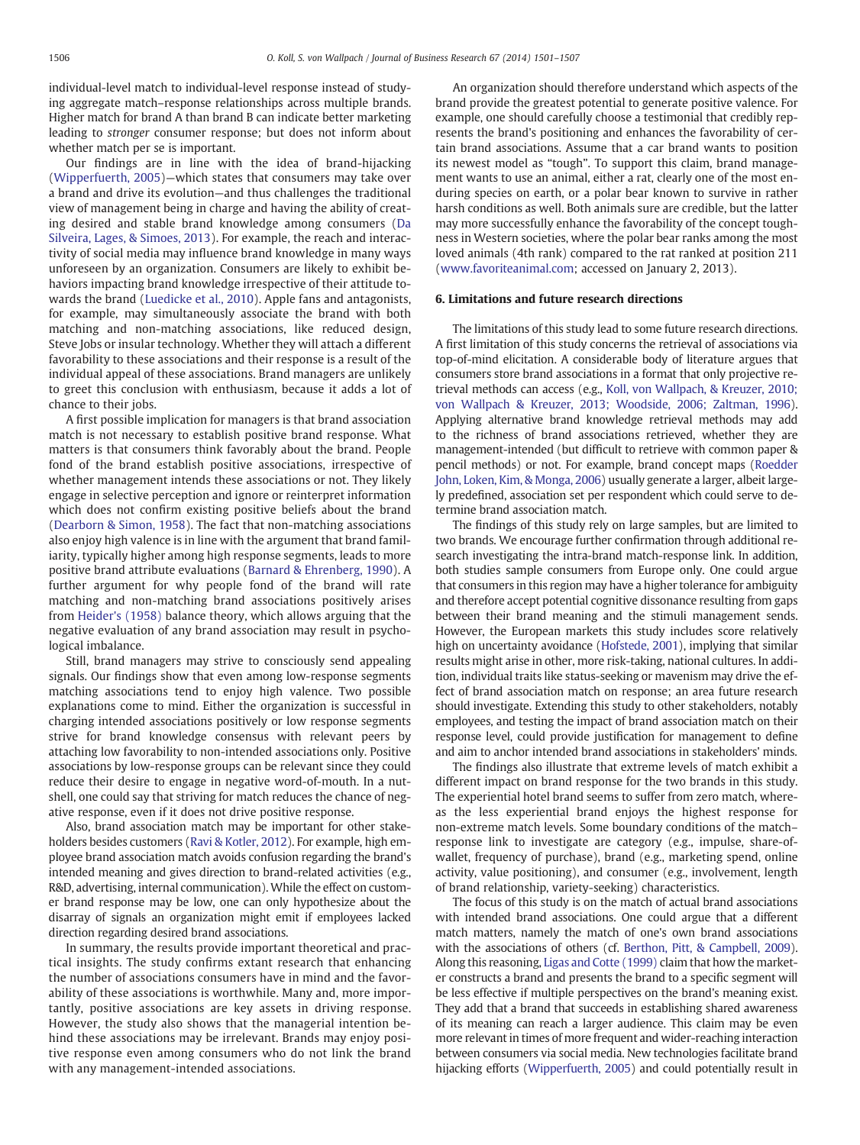individual-level match to individual-level response instead of studying aggregate match–response relationships across multiple brands. Higher match for brand A than brand B can indicate better marketing leading to stronger consumer response; but does not inform about whether match per se is important.

Our findings are in line with the idea of brand-hijacking [\(Wipperfuerth, 2005](#page-6-0))—which states that consumers may take over a brand and drive its evolution—and thus challenges the traditional view of management being in charge and having the ability of creating desired and stable brand knowledge among consumers ([Da](#page-6-0) [Silveira, Lages, & Simoes, 2013](#page-6-0)). For example, the reach and interactivity of social media may influence brand knowledge in many ways unforeseen by an organization. Consumers are likely to exhibit behaviors impacting brand knowledge irrespective of their attitude towards the brand [\(Luedicke et al., 2010\)](#page-6-0). Apple fans and antagonists, for example, may simultaneously associate the brand with both matching and non-matching associations, like reduced design, Steve Jobs or insular technology. Whether they will attach a different favorability to these associations and their response is a result of the individual appeal of these associations. Brand managers are unlikely to greet this conclusion with enthusiasm, because it adds a lot of chance to their jobs.

A first possible implication for managers is that brand association match is not necessary to establish positive brand response. What matters is that consumers think favorably about the brand. People fond of the brand establish positive associations, irrespective of whether management intends these associations or not. They likely engage in selective perception and ignore or reinterpret information which does not confirm existing positive beliefs about the brand [\(Dearborn & Simon, 1958\)](#page-6-0). The fact that non-matching associations also enjoy high valence is in line with the argument that brand familiarity, typically higher among high response segments, leads to more positive brand attribute evaluations ([Barnard & Ehrenberg, 1990](#page-6-0)). A further argument for why people fond of the brand will rate matching and non-matching brand associations positively arises from [Heider's \(1958\)](#page-6-0) balance theory, which allows arguing that the negative evaluation of any brand association may result in psychological imbalance.

Still, brand managers may strive to consciously send appealing signals. Our findings show that even among low-response segments matching associations tend to enjoy high valence. Two possible explanations come to mind. Either the organization is successful in charging intended associations positively or low response segments strive for brand knowledge consensus with relevant peers by attaching low favorability to non-intended associations only. Positive associations by low-response groups can be relevant since they could reduce their desire to engage in negative word-of-mouth. In a nutshell, one could say that striving for match reduces the chance of negative response, even if it does not drive positive response.

Also, brand association match may be important for other stakeholders besides customers ([Ravi & Kotler, 2012\)](#page-6-0). For example, high employee brand association match avoids confusion regarding the brand's intended meaning and gives direction to brand-related activities (e.g., R&D, advertising, internal communication). While the effect on customer brand response may be low, one can only hypothesize about the disarray of signals an organization might emit if employees lacked direction regarding desired brand associations.

In summary, the results provide important theoretical and practical insights. The study confirms extant research that enhancing the number of associations consumers have in mind and the favorability of these associations is worthwhile. Many and, more importantly, positive associations are key assets in driving response. However, the study also shows that the managerial intention behind these associations may be irrelevant. Brands may enjoy positive response even among consumers who do not link the brand with any management-intended associations.

An organization should therefore understand which aspects of the brand provide the greatest potential to generate positive valence. For example, one should carefully choose a testimonial that credibly represents the brand's positioning and enhances the favorability of certain brand associations. Assume that a car brand wants to position its newest model as "tough". To support this claim, brand management wants to use an animal, either a rat, clearly one of the most enduring species on earth, or a polar bear known to survive in rather harsh conditions as well. Both animals sure are credible, but the latter may more successfully enhance the favorability of the concept toughness in Western societies, where the polar bear ranks among the most loved animals (4th rank) compared to the rat ranked at position 211 [\(www.favoriteanimal.com;](http://www.favoriteanimal.com) accessed on January 2, 2013).

# 6. Limitations and future research directions

The limitations of this study lead to some future research directions. A first limitation of this study concerns the retrieval of associations via top-of-mind elicitation. A considerable body of literature argues that consumers store brand associations in a format that only projective retrieval methods can access (e.g., [Koll, von Wallpach, & Kreuzer, 2010;](#page-6-0) [von Wallpach & Kreuzer, 2013; Woodside, 2006; Zaltman, 1996\)](#page-6-0). Applying alternative brand knowledge retrieval methods may add to the richness of brand associations retrieved, whether they are management-intended (but difficult to retrieve with common paper & pencil methods) or not. For example, brand concept maps [\(Roedder](#page-6-0) [John, Loken, Kim, & Monga, 2006](#page-6-0)) usually generate a larger, albeit largely predefined, association set per respondent which could serve to determine brand association match.

The findings of this study rely on large samples, but are limited to two brands. We encourage further confirmation through additional research investigating the intra-brand match-response link. In addition, both studies sample consumers from Europe only. One could argue that consumers in this region may have a higher tolerance for ambiguity and therefore accept potential cognitive dissonance resulting from gaps between their brand meaning and the stimuli management sends. However, the European markets this study includes score relatively high on uncertainty avoidance [\(Hofstede, 2001\)](#page-6-0), implying that similar results might arise in other, more risk-taking, national cultures. In addition, individual traits like status-seeking or mavenism may drive the effect of brand association match on response; an area future research should investigate. Extending this study to other stakeholders, notably employees, and testing the impact of brand association match on their response level, could provide justification for management to define and aim to anchor intended brand associations in stakeholders' minds.

The findings also illustrate that extreme levels of match exhibit a different impact on brand response for the two brands in this study. The experiential hotel brand seems to suffer from zero match, whereas the less experiential brand enjoys the highest response for non-extreme match levels. Some boundary conditions of the match– response link to investigate are category (e.g., impulse, share-ofwallet, frequency of purchase), brand (e.g., marketing spend, online activity, value positioning), and consumer (e.g., involvement, length of brand relationship, variety-seeking) characteristics.

The focus of this study is on the match of actual brand associations with intended brand associations. One could argue that a different match matters, namely the match of one's own brand associations with the associations of others (cf. [Berthon, Pitt, & Campbell, 2009\)](#page-6-0). Along this reasoning, [Ligas and Cotte \(1999\)](#page-6-0) claim that how the marketer constructs a brand and presents the brand to a specific segment will be less effective if multiple perspectives on the brand's meaning exist. They add that a brand that succeeds in establishing shared awareness of its meaning can reach a larger audience. This claim may be even more relevant in times of more frequent and wider-reaching interaction between consumers via social media. New technologies facilitate brand hijacking efforts ([Wipperfuerth, 2005\)](#page-6-0) and could potentially result in